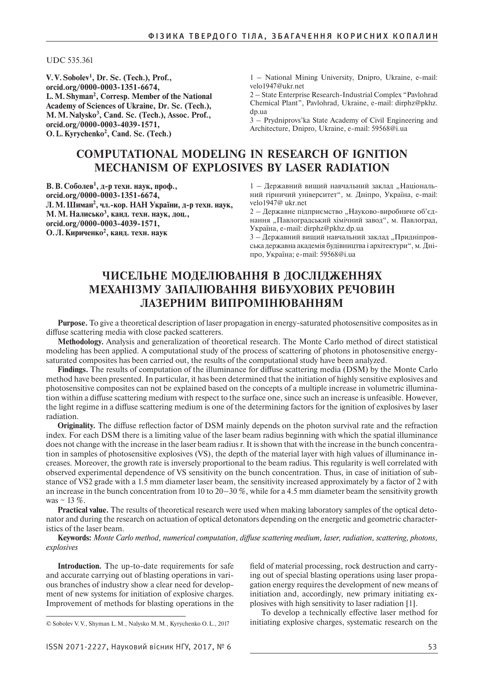UDC 535.361

**V.V.Sobolev1 , Dr. Sc. (Tech.), Prof., orcid.org/0000-0003-1351-6674, L.M.Shyman2 , Corresp. Member of the National Academy of Sciences of Ukraine, Dr. Sc. (Tech.), M.M.Nalysko3 , Cand. Sc. (Tech.), Assoc. Prof., orcid.org/0000-0003-4039-1571, O.L.Kyrychenko2 , Cand. Sc. (Tech.)**

1 – National Mining University, Dnipro, Ukraine, e-mail: velo1947@ukr.net

2 – State Enterprise Research-Industrial Complex "Pavlohrad Chemical Plant", Pavlohrad, Ukraine, e-mail: dirphz@pkhz. dp.ua

3 – Prydniprovs'kа State Academy of Civil Engineering and Architecture, Dnipro, Ukraine, e-mail: 59568@i.ua

# **Computational modeling in research of ignition mechanism of explosives by laser radiation**

**В. В. Соболев1 , д-р техн. наук, проф., orcid.org/0000-0003-1351-6674, Л. М.Шиман2 , чл.-кор. НАН України, д-р техн. наук, М. М. Налисько<sup>3</sup> , канд. техн. наук, доц., orcid.org/0000-0003-4039-1571, О. Л.Кириченко2 , канд. техн. наук**

1 – Державний вищий навчальний заклад "Національний гірничий університет", м. Дніпро, Україна, e-mail: velo1947@ ukr.net

2 – Державне підприємство "Науково-виробниче об'єднання "Павлоградський хімічний завод", м. Павлоград, Україна, e-mail: dirphz@pkhz.dp.ua

3 – Державний вищий навчальний заклад "Придніпровська державна академія будівництва і архітектури", м. Дніпро, Україна; e-mail: 59568@i.ua

# **Чисельне моделювання в дослідженнях механізму запалювання вибухових речовин лазерним випромінюванням**

**Purpose.** To give a theoretical description of laser propagation in energy-saturated photosensitive composites as in diffuse scattering media with close packed scatterers.

**Methodology.** Analysis and generalization of theoretical research. The Monte Carlo method of direct statistical modeling has been applied. A computational study of the process of scattering of photons in photosensitive energysaturated composites has been carried out, the results of the computational study have been analyzed.

**Findings.** The results of computation of the illuminance for diffuse scattering media (DSM) by the Monte Carlo method have been presented. In particular, it has been determined that the initiation of highly sensitive explosives and photosensitive composites can not be explained based on the concepts of a multiple increase in volumetric illumination within a diffuse scattering medium with respect to the surface one, since such an increase is unfeasible. However, the light regime in a diffuse scattering medium is one of the determining factors for the ignition of explosives by laser radiation.

**Originality.** The diffuse reflection factor of DSM mainly depends on the photon survival rate and the refraction index. For each DSM there is a limiting value of the laser beam radius beginning with which the spatial illuminance does not change with the increase in the laser beam radius r. It is shown that with the increase in the bunch concentration in samples of photosensitive explosives (VS), the depth of the material layer with high values of illuminance increases. Moreover, the growth rate is inversely proportional to the beam radius. This regularity is well correlated with observed experimental dependence of VS sensitivity on the bunch concentration. Thus, in case of initiation of substance of VS2 grade with a 1.5 mm diameter laser beam, the sensitivity increased approximately by a factor of 2 with an increase in the bunch concentration from 10 to  $20-30\%$ , while for a 4.5 mm diameter beam the sensitivity growth was  $\sim$  13 %.

**Practical value.** The results of theoretical research were used when making laboratory samples of the optical detonator and during the research on actuation of optical detonators depending on the energetic and geometric characteristics of the laser beam.

**Keywords:** *Monte Carlo method, numerical computation, diffuse scattering medium, laser, radiation, scattering, photons, explosives*

**Introduction.** The up-to-date requirements for safe and accurate carrying out of blasting operations in various branches of industry show a clear need for development of new systems for initiation of explosive charges. Improvement of methods for blasting operations in the

field of material processing, rock destruction and carrying out of special blasting operations using laser propagation energy requires the development of new means of initiation and, accordingly, new primary initiating explosives with high sensitivity to laser radiation [1].

© Sobolev V.V., Shyman L.M., Nalysko M.M., Kyrychenko O.L., 2017

To develop a technically effective laser method for initiating explosive charges, systematic research on the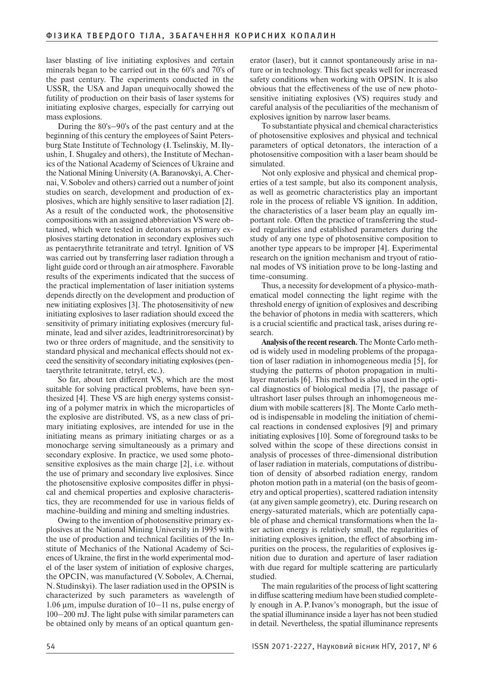laser blasting of live initiating explosives and certain minerals began to be carried out in the 60's and 70's of the past century. The experiments conducted in the USSR, the USA and Japan unequivocally showed the futility of production on their basis of laser systems for initiating explosive charges, especially for carrying out mass explosions.

During the 80's–90's of the past century and at the beginning of this century the employees of Saint Petersburg State Institute of Technology (I.Tselinskiy, M.Ilyushin, I. Shugaley and others), the Institute of Mechanics of the National Academy of Sciences of Ukraine and the National Mining University (A.Baranovskyi, A.Chernai, V.Sobolev and others) carried out a number of joint studies on search, development and production of explosives, which are highly sensitive to laser radiation [2]. As a result of the conducted work, the photosensitive compositions with an assigned abbreviation VS were obtained, which were tested in detonators as primary explosives starting detonation in secondary explosives such as pentaerythrite tetranitrate and tetryl. Ignition of VS was carried out by transferring laser radiation through a light guide cord or through an air atmosphere. Favorable results of the experiments indicated that the success of the practical implementation of laser initiation systems depends directly on the development and production of new initiating explosives [3]. The photosensitivity of new initiating explosives to laser radiation should exceed the sensitivity of primary initiating explosives (mercury fulminate, lead and silver azides, leadtrinitroresorcinat) by two or three orders of magnitude, and the sensitivity to standard physical and mechanical effects should not exceed the sensitivity of secondary initiating explosives (pentaerythrite tetranitrate, tetryl, etc.).

So far, about ten different VS, which are the most suitable for solving practical problems, have been synthesized [4]. These VS are high energy systems consisting of a polymer matrix in which the microparticles of the explosive are distributed. VS, as a new class of primary initiating explosives, are intended for use in the initiating means as primary initiating charges or as a monocharge serving simultaneously as a primary and secondary explosive. In practice, we used some photosensitive explosives as the main charge [2], i.e. without the use of primary and secondary live explosives. Since the photosensitive explosive composites differ in physical and chemical properties and explosive characteristics, they are recommended for use in various fields of machine-building and mining and smelting industries.

Owing to the invention of photosensitive primary explosives at the National Mining University in 1995 with the use of production and technical facilities of the Institute of Mechanics of the National Academy of Sciences of Ukraine, the first in the world experimental model of the laser system of initiation of explosive charges, the OPCIN, was manufactured (V.Sobolev, A.Chernai, N.Studinskyi). The laser radiation used in the OPSIN is characterized by such parameters as wavelength of 1.06 μm, impulse duration of  $10-11$  ns, pulse energy of 100‒200 mJ. The light pulse with similar parameters can be obtained only by means of an optical quantum generator (laser), but it cannot spontaneously arise in nature or in technology. This fact speaks well for increased safety conditions when working with OPSIN. It is also obvious that the effectiveness of the use of new photosensitive initiating explosives (VS) requires study and careful analysis of the peculiarities of the mechanism of explosives ignition by narrow laser beams.

To substantiate physical and chemical characteristics of photosensitive explosives and physical and technical parameters of optical detonators, the interaction of a photosensitive composition with a laser beam should be simulated.

Not only explosive and physical and chemical properties of a test sample, but also its component analysis, as well as geometric characteristics play an important role in the process of reliable VS ignition. In addition, the characteristics of a laser beam play an equally important role. Often the practice of transferring the studied regularities and established parameters during the study of any one type of photosensitive composition to another type appears to be improper [4]. Experimental research on the ignition mechanism and tryout of rational modes of VS initiation prove to be long-lasting and time-consuming.

Thus, a necessity for development of a physico-mathematical model connecting the light regime with the threshold energy of ignition of explosives and describing the behavior of photons in media with scatterers, which is a crucial scientific and practical task, arises during research.

**Analysis of the recent research.** The Monte Carlo method is widely used in modeling problems of the propagation of laser radiation in inhomogeneous media [5], for studying the patterns of photon propagation in multilayer materials [6]. This method is also used in the optical diagnostics of biological media [7], the passage of ultrashort laser pulses through an inhomogeneous medium with mobile scatterers [8]. The Monte Carlo method is indispensable in modeling the initiation of chemical reactions in condensed explosives [9] and primary initiating explosives [10]. Some of foreground tasks to be solved within the scope of these directions consist in analysis of processes of three-dimensional distribution of laser radiation in materials, computations of distribution of density of absorbed radiation energy, random photon motion path in a material (on the basis of geometry and optical properties), scattered radiation intensity (at any given sample geometry), etc. During research on energy-saturated materials, which are potentially capable of phase and chemical transformations when the laser action energy is relatively small, the regularities of initiating explosives ignition, the effect of absorbing impurities on the process, the regularities of explosives ignition due to duration and aperture of laser radiation with due regard for multiple scattering are particularly studied.

The main regularities of the process of light scattering in diffuse scattering medium have been studied completely enough in A.P.Ivanov's monograph, but the issue of the spatial illuminance inside a layer has not been studied in detail. Nevertheless, the spatial illuminance represents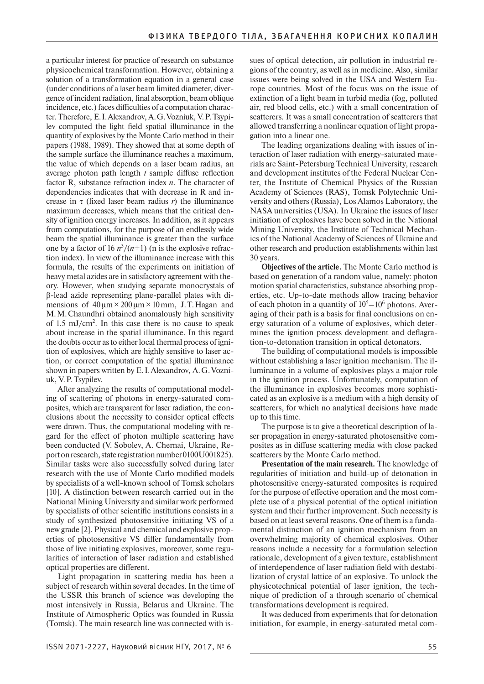a particular interest for practice of research on substance physicochemical transformation. However, obtaining a solution of a transformation equation in a general case (under conditions of a laser beam limited diameter, divergence of incident radiation, final absorption, beam oblique incidence, etc.) faces difficulties of a computation character. Therefore, E.I.Alexandrov, A.G.Vozniuk, V.P.Tsypilev computed the light field spatial illuminance in the quantity of explosives by the Monte Carlo method in their papers (1988, 1989). They showed that at some depth of the sample surface the illuminance reaches a maximum, the value of which depends on a laser beam radius, an average photon path length *t* sample diffuse reflection factor R, substance refraction index *n*. The character of dependencies indicates that with decrease in R and increase in  $\tau$  (fixed laser beam radius *r*) the illuminance maximum decreases, which means that the critical density of ignition energy increases. In addition, as it appears from computations, for the purpose of an endlessly wide beam the spatial illuminance is greater than the surface one by a factor of  $16 n^3/(n+1)$  (n is the explosive refraction index). In view of the illuminance increase with this formula, the results of the experiments on initiation of heavy metal azides are in satisfactory agreement with theory. However, when studying separate monocrystals of b-lead azide representing plane-parallel plates with dimensions of  $40 \mu m \times 200 \mu m \times 10 \mu m$ , J.T. Hagan and M.M.Chaundhri obtained anomalously high sensitivity of  $1.5 \text{ mJ/cm}^2$ . In this case there is no cause to speak about increase in the spatial illuminance. In this regard the doubts occur as to either local thermal process of ignition of explosives, which are highly sensitive to laser action, or correct computation of the spatial illuminance shown in papers written by E.I.Alexandrov, A.G.Vozniuk, V.P.Tsypilev.

After analyzing the results of computational modeling of scattering of photons in energy-saturated composites, which are transparent for laser radiation, the conclusions about the necessity to consider optical effects were drawn. Thus, the computational modeling with regard for the effect of photon multiple scattering have been conducted (V. Sobolev, А. Chernai, Ukraine, Report on research, state registration number 0100U001825). Similar tasks were also successfully solved during later research with the use of Monte Carlo modified models by specialists of a well-known school of Tomsk scholars [10]. A distinction between research carried out in the National Mining University and similar work performed by specialists of other scientific institutions consists in a study of synthesized photosensitive initiating VS of a new grade [2]. Physical and chemical and explosive properties of photosensitive VS differ fundamentally from those of live initiating explosives, moreover, some regularities of interaction of laser radiation and established optical properties are different.

Light propagation in scattering media has been a subject of research within several decades. In the time of the USSR this branch of science was developing the most intensively in Russia, Belarus and Ukraine. The Institute of Atmospheric Optics was founded in Russia (Tomsk). The main research line was connected with issues of optical detection, air pollution in industrial regions of the country, as well as in medicine. Also, similar issues were being solved in the USA and Western Europe countries. Most of the focus was on the issue of extinction of a light beam in turbid media (fog, polluted air, red blood cells, etc.) with a small concentration of scatterers. It was a small concentration of scatterers that allowed transferring a nonlinear equation of light propagation into a linear one.

The leading organizations dealing with issues of interaction of laser radiation with energy-saturated materials are Saint-Petersburg Technical University, research and development institutes of the Federal Nuclear Center, the Institute of Chemical Physics of the Russian Academy of Sciences (RAS), Tomsk Polytechnic University and others (Russia), Los Alamos Laboratory, the NASA universities (USA). In Ukraine the issues of laser initiation of explosives have been solved in the National Mining University, the Institute of Technical Mechanics of the National Academy of Sciences of Ukraine and other research and production establishments within last 30 years.

**Objectives of the article.** The Monte Carlo method is based on generation of a random value, namely: photon motion spatial characteristics, substance absorbing properties, etc. Up-to-date methods allow tracing behavior of each photon in a quantity of  $10^5 - 10^6$  photons. Averaging of their path is a basis for final conclusions on energy saturation of a volume of explosives, which determines the ignition process development and deflagration-to-detonation transition in optical detonators.

The building of computational models is impossible without establishing a laser ignition mechanism. The illuminance in a volume of explosives plays a major role in the ignition process. Unfortunately, computation of the illuminance in explosives becomes more sophisticated as an explosive is a medium with a high density of scatterers, for which no analytical decisions have made up to this time.

The purpose is to give a theoretical description of laser propagation in energy-saturated photosensitive composites as in diffuse scattering media with close packed scatterers by the Monte Carlo method.

**Presentation of the main research.** The knowledge of regularities of initiation and build-up of detonation in photosensitive energy-saturated composites is required for the purpose of effective operation and the most complete use of a physical potential of the optical initiation system and their further improvement. Such necessity is based on at least several reasons. One of them is a fundamental distinction of an ignition mechanism from an overwhelming majority of chemical explosives. Other reasons include a necessity for a formulation selection rationale, development of a given texture, establishment of interdependence of laser radiation field with destabilization of crystal lattice of an explosive. To unlock the physicotechnical potential of laser ignition, the technique of prediction of a through scenario of chemical transformations development is required.

It was deduced from experiments that for detonation initiation, for example, in energy-saturated metal com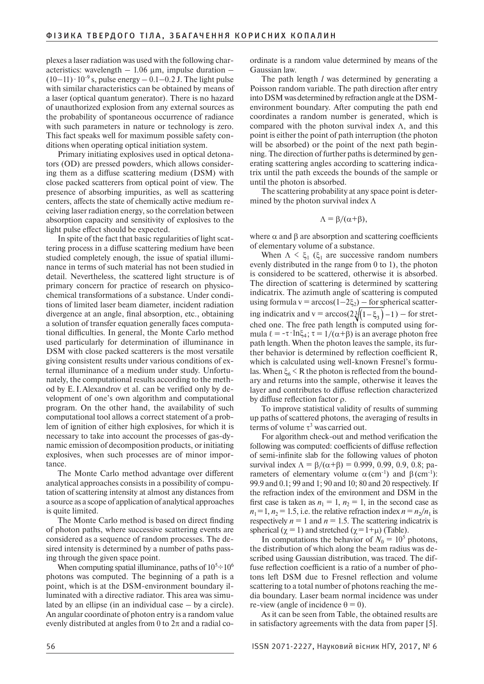plexes a laser radiation was used with the following characteristics: wavelength  $-1.06 \mu m$ , impulse duration  $(10-11)$  $\cdot$  10<sup>-9</sup> s, pulse energy – 0.1–0.2 J. The light pulse with similar characteristics can be obtained by means of a laser (optical quantum generator). There is no hazard of unauthorized explosion from any external sources as the probability of spontaneous occurrence of radiance with such parameters in nature or technology is zero. This fact speaks well for maximum possible safety conditions when operating optical initiation system.

Primary initiating explosives used in optical detonators (OD) are pressed powders, which allows considering them as a diffuse scattering medium (DSM) with close packed scatterers from optical point of view. The presence of absorbing impurities, as well as scattering centers, affects the state of chemically active medium receiving laser radiation energy, so the correlation between absorption capacity and sensitivity of explosives to the light pulse effect should be expected.

In spite of the fact that basic regularities of light scattering process in a diffuse scattering medium have been studied completely enough, the issue of spatial illuminance in terms of such material has not been studied in detail. Nevertheless, the scattered light structure is of primary concern for practice of research on physicochemical transformations of a substance. Under conditions of limited laser beam diameter, incident radiation divergence at an angle, final absorption, etc., obtaining a solution of transfer equation generally faces computational difficulties. In general, the Monte Carlo method used particularly for determination of illuminance in DSM with close packed scatterers is the most versatile giving consistent results under various conditions of external illuminance of a medium under study. Unfortunately, the computational results according to the method by E.I.Alexandrov et al. can be verified only by development of one's own algorithm and computational program. On the other hand, the availability of such computational tool allows a correct statement of a problem of ignition of either high explosives, for which it is necessary to take into account the processes of gas-dynamic emission of decomposition products, or initiating explosives, when such processes are of minor importance.

The Monte Carlo method advantage over different analytical approaches consists in a possibility of computation of scattering intensity at almost any distances from a source as a scope of application of analytical approaches is quite limited.

The Monte Carlo method is based on direct finding of photon paths, where successive scattering events are considered as a sequence of random processes. The desired intensity is determined by a number of paths passing through the given space point.

When computing spatial illuminance, paths of  $10^5 \div 10^6$ photons was computed. The beginning of a path is a point, which is at the DSM-environment boundary illuminated with a directive radiator. This area was simulated by an ellipse (in an individual case – by a circle). An angular coordinate of photon entry is a random value evenly distributed at angles from 0 to  $2\pi$  and a radial coordinate is a random value determined by means of the Gaussian law.

The path length *l* was determined by generating a Poisson random variable. The path direction after entry into DSM was determined by refraction angle at the DSMenvironment boundary. After computing the path end coordinates a random number is generated, which is compared with the photon survival index  $\Lambda$ , and this point is either the point of path interruption (the photon will be absorbed) or the point of the next path beginning. The direction of further paths is determined by generating scattering angles according to scattering indicatrix until the path exceeds the bounds of the sample or until the photon is absorbed.

The scattering probability at any space point is determined by the photon survival index Λ

$$
\Lambda = \beta/(\alpha + \beta),
$$

where  $\alpha$  and  $\beta$  are absorption and scattering coefficients of elementary volume of a substance.

When  $\Lambda \leq \xi_1$  ( $\xi_1$  are successive random numbers evenly distributed in the range from 0 to 1), the photon is considered to be scattered, otherwise it is absorbed. The direction of scattering is determined by scattering indicatrix. The azimuth angle of scattering is computed using formula  $v = \arccos(1-2\xi_2)$  – for spherical scattering indicatrix and  $v = \arccos(2\sqrt[3]{(1-\xi_3)}-1)$  – for stretched one. The free path length is computed using formula  $\ell = -\tau \cdot \ln \xi_4$ ;  $\tau = 1/(\alpha + \beta)$  is an average photon free path length. When the photon leaves the sample, its further behavior is determined by reflection coefficient R, which is calculated using well-known Fresnel's formulas. When  $\xi_6$  < R the photon is reflected from the boundary and returns into the sample, otherwise it leaves the layer and contributes to diffuse reflection characterized by diffuse reflection factor ρ.

To improve statistical validity of results of summing up paths of scattered photons, the averaging of results in terms of volume  $\tau^3$  was carried out.

For algorithm check-out and method verification the following was computed: coefficients of diffuse reflection of semi-infinite slab for the following values of photon survival index  $\Lambda = \frac{\beta}{\alpha + \beta} = 0.999, 0.99, 0.9, 0.8;$  parameters of elementary volume  $\alpha$  (cm<sup>-1</sup>) and β(cm<sup>-1</sup>): 99.9 and 0.1; 99 and 1; 90 and 10; 80 and 20 respectively. If the refraction index of the environment and DSM in the first case is taken as  $n_1 = 1$ ,  $n_2 = 1$ , in the second case as  $n_1 = 1$ ,  $n_2 = 1.5$ , i.e. the relative refraction index  $n = n_2/n_1$  is respectively  $n = 1$  and  $n = 1.5$ . The scattering indicatrix is spherical ( $\chi = 1$ ) and stretched ( $\chi = 1 + \mu$ ) (Table).

In computations the behavior of  $N_0 = 10^5$  photons, the distribution of which along the beam radius was described using Gaussian distribution, was traced. The diffuse reflection coefficient is a ratio of a number of photons left DSM due to Fresnel reflection and volume scattering to a total number of photons reaching the media boundary. Laser beam normal incidence was under re-view (angle of incidence  $\theta = 0$ ).

As it can be seen from Table, the obtained results are in satisfactory agreements with the data from paper [5].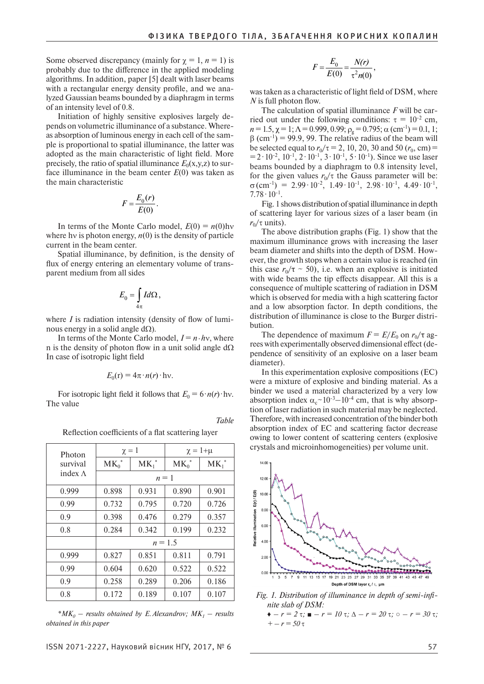Some observed discrepancy (mainly for  $\gamma = 1$ ,  $n = 1$ ) is probably due to the difference in the applied modeling algorithms. In addition, paper [5] dealt with laser beams with a rectangular energy density profile, and we analyzed Gaussian beams bounded by a diaphragm in terms of an intensity level of 0.8.

Initiation of highly sensitive explosives largely depends on volumetric illuminance of a substance. Whereas absorption of luminous energy in each cell of the sample is proportional to spatial illuminance, the latter was adopted as the main characteristic of light field. More precisely, the ratio of spatial illuminance  $E_0(x,y,z)$  to surface illuminance in the beam center *Е*(0) was taken as the main characteristic

$$
F = \frac{E_0(r)}{E(0)}.
$$

In terms of the Monte Carlo model,  $E(0) = n(0)$ hv where hy is photon energy,  $n(0)$  is the density of particle current in the beam center.

Spatial illuminance, by definition, is the density of flux of energy entering an elementary volume of transparent medium from all sides

$$
E_0 = \int\limits_{4\pi} I d\Omega \,,
$$

where *I* is radiation intensity (density of flow of luminous energy in a solid angle  $d\Omega$ ).

In terms of the Monte Carlo model,  $I = n \cdot h v$ , where n is the density of photon flow in a unit solid angle  $d\Omega$ In case of isotropic light field

$$
E_0(\mathbf{r}) = 4\pi \cdot n(r) \cdot \mathbf{h}\mathbf{v}.
$$

For isotropic light field it follows that  $E_0 = 6 \cdot n(r) \cdot \text{hv}$ . The value

*Table*

Reflection coefficients of a flat scattering layer

| Photon<br>survival<br>index $\Lambda$ | $\chi = 1$ |          | $\chi = 1 + \mu$ |          |
|---------------------------------------|------------|----------|------------------|----------|
|                                       | $MK_0^*$   | $MK_1^*$ | $MK_0^*$         | $MK_1^*$ |
|                                       | $n=1$      |          |                  |          |
| 0.999                                 | 0.898      | 0.931    | 0.890            | 0.901    |
| 0.99                                  | 0.732      | 0.795    | 0.720            | 0.726    |
| 0.9                                   | 0.398      | 0.476    | 0.279            | 0.357    |
| 0.8                                   | 0.284      | 0.342    | 0.199            | 0.232    |
|                                       | $n = 1.5$  |          |                  |          |
| 0.999                                 | 0.827      | 0.851    | 0.811            | 0.791    |
| 0.99                                  | 0.604      | 0.620    | 0.522            | 0.522    |
| 0.9                                   | 0.258      | 0.289    | 0.206            | 0.186    |
| 0.8                                   | 0.172      | 0.189    | 0.107            | 0.107    |

 $^*MK_0$  – results obtained by E. Alexandrov;  $MK_1$  – results *obtained in this paper*

$$
F = \frac{E_0}{E(0)} = \frac{N(r)}{\tau^2 n(0)},
$$

was taken as a characteristic of light field of DSM, where *N* is full photon flow.

The calculation of spatial illuminance *F* will be carried out under the following conditions:  $\tau = 10^{-2}$  cm,  $n = 1.5$ ,  $\chi = 1$ ;  $\Lambda = 0.999$ ,  $0.99$ ;  $\rho_g = 0.795$ ;  $\alpha$  (cm<sup>-1</sup>) = 0.1, 1;  $\beta$  (cm<sup>-1</sup>) = 99.9, 99. The relative radius of the beam will be selected equal to  $r_0/\tau = 2$ , 10, 20, 30 and 50 ( $r_0$ , cm) =  $=$  2⋅10<sup>-2</sup>, 10<sup>-1</sup>, 2⋅10<sup>-1</sup>, 3⋅10<sup>-1</sup>, 5⋅10<sup>-1</sup>). Since we use laser beams bounded by a diaphragm to 0.8 intensity level, for the given values  $r_0/\tau$  the Gauss parameter will be:  $\sigma$ (cm<sup>-1</sup>) = 2.99 ⋅ 10<sup>-2</sup>, 1.49 ⋅ 10<sup>-1</sup>, 2.98 ⋅ 10<sup>-1</sup>, 4.49 ⋅ 10<sup>-1</sup>,  $7.78 \cdot 10^{-1}$ .

Fig. 1 shows distribution of spatial illuminance in depth of scattering layer for various sizes of a laser beam (in  $r_0/\tau$  units).

The above distribution graphs (Fig. 1) show that the maximum illuminance grows with increasing the laser beam diameter and shifts into the depth of DSM. However, the growth stops when a certain value is reached (in this case  $r_0/\tau \sim 50$ ), i.e. when an explosive is initiated with wide beams the tip effects disappear. All this is a consequence of multiple scattering of radiation in DSM which is observed for media with a high scattering factor and a low absorption factor. In depth conditions, the distribution of illuminance is close to the Burger distribution.

The dependence of maximum  $F = E/E_0$  on  $r_0/\tau$  agrees with experimentally observed dimensional effect (dependence of sensitivity of an explosive on a laser beam diameter).

In this experimentation explosive compositions (EC) were a mixture of explosive and binding material. As a binder we used a material characterized by a very low absorption index  $\alpha_c \sim 10^{-3} - 10^{-4}$  cm, that is why absorption of laser radiation in such material may be neglected. Therefore, with increased concentration of the binder both absorption index of EC and scattering factor decrease owing to lower content of scattering centers (explosive crystals and microinhomogeneities) per volume unit.



*Fig. 1. Distribution of illuminance in depth of semi-infinite slab of DSM:* 

*<sup>♦</sup> – r = 2* t*; ■ – r = 10* t*;* ∆ *– r = 20* t*; ○ – r = 30* t*;*   $+ - r = 50 \tau$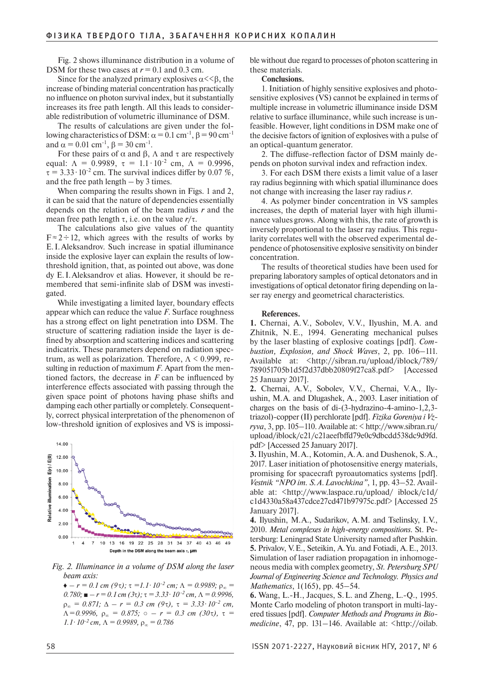Fig. 2 shows illuminance distribution in a volume of DSM for these two cases at  $r = 0.1$  and 0.3 cm.

Since for the analyzed primary explosives  $\alpha$ << $\beta$ , the increase of binding material concentration has practically no influence on photon survival index, but it substantially increases its free path length. All this leads to considerable redistribution of volumetric illuminance of DSM.

The results of calculations are given under the following characteristics of DSM:  $\alpha$  = 0.1 cm<sup>-1</sup>, β = 90 cm<sup>-1</sup> and  $\alpha = 0.01$  cm<sup>-1</sup>,  $\beta = 30$  cm<sup>-1</sup>.

For these pairs of  $\alpha$  and  $\beta$ ,  $\Lambda$  and  $\tau$  are respectively equal:  $\Lambda = 0.9989$ ,  $\tau = 1.1 \cdot 10^{-2}$  cm,  $\Lambda = 0.9996$ ,  $\tau = 3.33 \cdot 10^{-2}$  cm. The survival indices differ by 0.07 %, and the free path length  $-$  by 3 times.

When comparing the results shown in Figs. 1 and 2, it can be said that the nature of dependencies essentially depends on the relation of the beam radius *r* and the mean free path length  $\tau$ , i.e. on the value  $r/\tau$ .

The calculations also give values of the quantity  $F \approx 2 \div 12$ , which agrees with the results of works by E.I.Aleksandrov. Such increase in spatial illuminance inside the explosive layer can explain the results of lowthreshold ignition, that, as pointed out above, was done dy E.I.Aleksandrov et alias. However, it should be remembered that semi-infinite slab of DSM was investigated.

While investigating a limited layer, boundary effects appear which can reduce the value *F*. Surface roughness has a strong effect on light penetration into DSM. The structure of scattering radiation inside the layer is defined by absorption and scattering indices and scattering indicatrix. These parameters depend on radiation spectrum, as well as polarization. Therefore,  $\Lambda$  < 0.999, resulting in reduction of maximum *F*. Apart from the mentioned factors, the decrease in *F* can be influenced by interference effects associated with passing through the given space point of photons having phase shifts and damping each other partially or completely. Consequently, correct physical interpretation of the phenomenon of low-threshold ignition of explosives and VS is impossi-



#### *Fig. 2. Illuminance in a volume of DSM along the laser beam axis:*

 $\bullet$  –  $r = 0.1$  cm (9 $\tau$ );  $\tau = 1.1 \cdot 10^{-2}$  cm;  $\Lambda = 0.9989$ ;  $\rho_{\infty} =$  $0.780$ ; ■  $-r = 0.1$  cm ( $3\tau$ );  $\tau = 3.33 \cdot 10^{-2}$  cm,  $\Lambda = 0.9996$ ,  $\rho_{\infty} = 0.871$ ;  $\Delta - r = 0.3$  cm (9 $\tau$ ),  $\tau = 3.33 \cdot 10^{-2}$  cm,  $\Lambda = 0.9996$ ,  $\rho_{\infty} = 0.875$ ;  $\circ$  –  $r = 0.3$  cm (30 $\tau$ ),  $\tau =$  $1.1 \cdot 10^{-2}$  cm,  $\Lambda = 0.9989$ ,  $\rho_{\infty} = 0.786$ 

ble without due regard to processes of photon scattering in these materials.

### **Conclusions.**

1. Initiation of highly sensitive explosives and photosensitive explosives (VS) cannot be explained in terms of multiple increase in volumetric illuminance inside DSM relative to surface illuminance, while such increase is unfeasible. However, light conditions in DSM make one of the decisive factors of ignition of explosives with a pulse of an optical-quantum generator.

2. The diffuse-reflection factor of DSM mainly depends on photon survival index and refraction index.

3. For each DSM there exists a limit value of a laser ray radius beginning with which spatial illuminance does not change with increasing the laser ray radius *r*.

4. As polymer binder concentration in VS samples increases, the depth of material layer with high illuminance values grows. Along with this, the rate of growth is inversely proportional to the laser ray radius. This regularity correlates well with the observed experimental dependence of photosensitive explosive sensitivity on binder concentration.

The results of theoretical studies have been used for preparing laboratory samples of optical detonators and in investigations of optical detonator firing depending on laser ray energy and geometrical characteristics.

#### **References.**

**1.** Chernai, A.V., Sobolev, V.V., Ilyushin, M.A. and Zhitnik, N.E., 1994. Generating mechanical pulses by the laser blasting of explosive coatings [pdf]. *Combustion, Explosion, and Shock Waves*, 2, pp. 106–111. Available at: <http://sibran.ru/upload/iblock/789/ 789051705b1d5f2d37dbb20809f27ca8.pdf> [Accessed 25 January 2017].

**2.** Chernai, A.V., Sobolev, V.V., Chernai, V.A., Ilyushin, M.A. and Dlugashek, A., 2003. Laser initiation of charges on the basis of di-(3-hydrazino-4-amino-1,2,3 triazol)-copper (II) perchlorate [pdf]. *Fizika Goreniya i Vzryva*, 3, pp. 105–110. Available at: < http://www.sibran.ru/ upload/iblock/c21/c21aeefbffd79e0c9dbcdd538dc9d9fd. pdf> [Accessed 25 January 2017].

**3.** Ilyushin, M.A., Kotomin, A.A. and Dushenok, S.A., 2017. Laser initiation of photosensitive energy materials, promising for spacecraft pyroautomatics systems [pdf]. *Vestnik "NPO im. S.A.Lavochkina"*, 1, pp. 43–52. Available at: <http://www.laspace.ru/upload/ iblock/c1d/ c1d4330a58a437cdce27cd471b97975c.pdf> [Accessed 25 January 2017].

**4.** Ilyushin, M.A., Sudarikov, A.M. and Tselinsky, I.V., 2010. *Metal complexes in high-energy compositions*. St. Petersburg: Leningrad State University named after Pushkin. **5.** Privalov, V.E., Seteikin, A.Yu. and Fotiadi, A.E., 2013. Simulation of laser radiation propagation in inhomogeneous media with complex geometry, *St. Petersburg SPU Journal of Engineering Science and Technology. Physics and Mathematics*, 1(165), pp. 45–54.

**6.** Wang, L.-H., Jacques, S.L. and Zheng, L.-Q., 1995. Monte Carlo modeling of photon transport in multi-layered tissues [pdf]. *Computer Methods and Programs in Biomedicine*, 47, pp. 131–146. Available at: <http://oilab.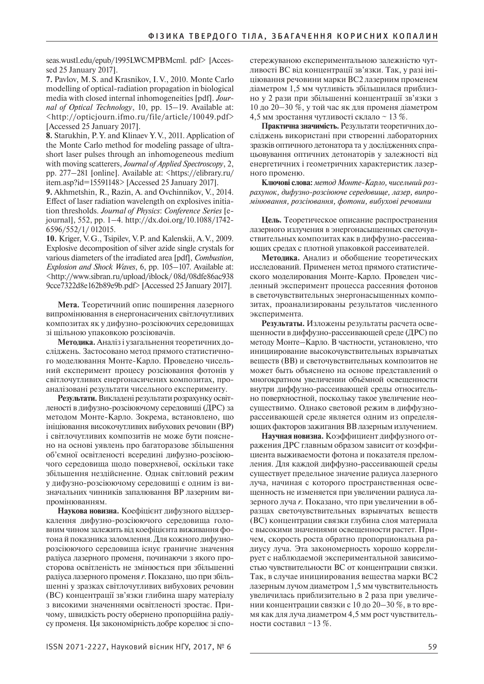seas.wustl.edu/epub/1995LWCMPBMcml. pdf> [Accessed 25 January 2017].

**7.** Pavlov, M.S. and Krasnikov, I.V., 2010. Monte Carlo modelling of optical-radiation propagation in biological media with closed internal inhomogeneities [pdf]. *Journal of Optical Technology*, 10, pp. 15–19. Available at: <http://opticjourn.ifmo.ru/file/article/10049.pdf> [Accessed 25 January 2017].

**8.** Starukhin, P.Y. and Klinaev Y.V., 2011. Application of the Monte Carlo method for modeling passage of ultrashort laser pulses through an inhomogeneous medium with moving scatterers, *Journal of Applied Spectroscopy*, 2, pp. 277–281 [online]. Available at: <https://elibrary.ru/ item.asp?id=15591148> [Accessed 25 January 2017].

**9.** Akhmetshin, R., Razin, A. and Ovchinnikov, V., 2014. Effect of laser radiation wavelength on explosives initiation thresholds. *Journal of Physics*: *Conference Series* [ejournal], 552, pp. 1–4. http://dx.doi.org/10.1088/1742- 6596/552/1/ 012015.

**10.** Kriger, V.G., Tsipilev, V.P. and Kalenskii, A.V., 2009. Explosive decomposition of silver azide single crystals for various diameters of the irradiated area [pdf], *Combustion, Explosion and Shock Waves*, 6, pp. 105–107. Available at: <http://www.sibran.ru/upload/iblock/ 08d/08dfe86ac938 9cce7322d8e162b89e9b.pdf> [Accessed 25 January 2017].

**Мета.** Теоретичний опис поширення лазерного випромінювання в енергонасичених світлочутливих композитах як у дифузно-розсіюючих середовищах зі щільною упаковкою розсіювачів.

**Методика.** Аналіз і узагальнення теоретичних досліджень. Застосовано метод прямого статистичного моделювання Монте-Карло. Проведено чисельний експеримент процесу розсіювання фотонів у світлочутливих енергонасичених композитах, проаналізовані результати чисельного експерименту.

**Результати.** Викладені результати розрахунку освітленості в дифузно-розсіюючому середовищі (ДРС) за методом Монте-Карло. Зокрема, встановлено, що ініціювання високочутливих вибухових речовин (ВР) і світлочутливих композитів не може бути пояснено на основі уявлень про багаторазове збільшення об'ємної освітленості всередині дифузно-розсіюючого середовища щодо поверхневої, оскільки таке збільшення нездійсненне. Однак світловий режим у дифузно-розсіюючому середовищі є одним із визначальних чинників запалювання ВР лазерним випромінюванням.

**Наукова новизна.** Коефіцієнт дифузного віддзеркалення дифузно-розсіюючого середовища головним чином залежить від коефіцієнта виживання фотона й показника заломлення. Для кожного дифузнорозсіюючого середовища існує граничне значення радіуса лазерного променя, починаючи з якого просторова освітленість не змінюється при збільшенні радіуса лазерного променя *r*. Показано, що при збільшенні у зразках світлочутливих вибухових речовин (ВС) концентрації зв'язки глибина шару матеріалу з високими значеннями освітленості зростає. Причому, швидкість росту обернено пропорційна радіусу променя. Ця закономірність добре корелює зі спостережуваною експериментальною залежністю чутливості ВС від концентрації зв'язки. Так, у разі ініціювання речовини марки ВС2 лазерним променем діаметром 1,5 мм чутливість збільшилася приблизно у 2 рази при збільшенні концентрації зв'язки з 10 до 20‒30 %, у той час як для променя діаметром 4,5 мм зростання чутливості склало ~ 13 %.

**Практична значимість.** Результати теоретичних досліджень використані при створенні лабораторних зразків оптичного детонатора та у дослідженнях спрацьовування оптичних детонаторів у залежності від енергетичних і геометричних характеристик лазерного променю.

**Ключові слова:** *метод Монте-Карло, чисельний розрахунок, дифузно-розсіююче середовище, лазер, випромінювання, розсіювання, фотони, вибухові речовини*

**Цель.** Теоретическое описание распространения лазерного излучения в энергонасыщенных светочувствительных композитах как в диффузно-рассеивающих средах с плотной упаковкой рассеивателей.

**Методика.** Анализ и обобщение теоретических исследований. Применен метод прямого статистического моделирования Монте-Карло. Проведен численный эксперимент процесса рассеяния фотонов в светочувствительных энергонасыщенных композитах, проанализированы результатов численного эксперимента.

**Результаты.** Изложены результаты расчета освещенности в диффузно-рассеивающей среде (ДРС) по методу Монте–Карло. В частности, установлено, что инициирование высокочувствительных взрывчатых веществ (ВВ) и светочувствительных композитов не может быть объяснено на основе представлений о многократном увеличении объёмной освещенности внутри диффузно-рассеивающей среды относительно поверхностной, поскольку такое увеличение неосуществимо. Однако световой режим в диффузнорассеивающей среде является одним из определяющих факторов зажигания ВВ лазерным излучением.

**Научная новизна.** Коэффициент диффузного отражения ДРС главным образом зависит от коэффициента выживаемости фотона и показателя преломления. Для каждой диффузно-рассеивающей среды существует предельное значение радиуса лазерного луча, начиная с которого пространственная освещенность не изменяется при увеличении радиуса лазерного луча *r*. Показано, что при увеличении в образцах светочувствительных взрывчатых веществ (ВС) концентрации связки глубина слоя материала с высокими значениями освещенности растет. Причем, скорость роста обратно пропорциональна радиусу луча. Эта закономерность хорошо коррелирует с наблюдаемой экспериментальной зависимостью чувствительности ВС от концентрации связки. Так, в случае инициирования вещества марки ВС2 лазерным лучом диаметром 1,5 мм чувствительность увеличилась приблизительно в 2 раза при увеличении концентрации связки с 10 до 20–30 %, в то время как для луча диаметром 4,5 мм рост чувствительности составил ~13 %.